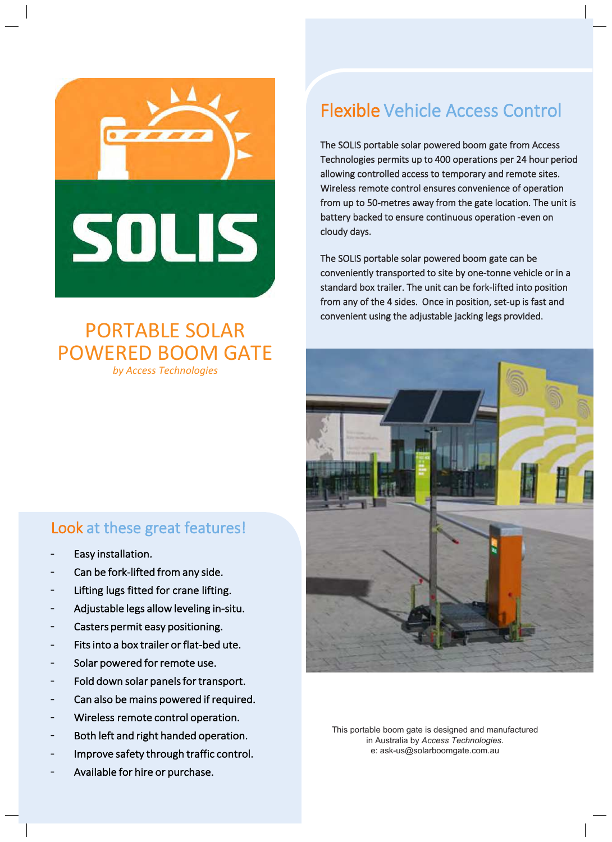

## PORTABLE SOLAR POWERED BOOM GATE *by Access Technologies*

## Look at these great features!

- Easy installation.
- Can be fork-lifted from any side.
- Lifting lugs fitted for crane lifting.
- Adjustable legs allow leveling in-situ.
- Casters permit easy positioning.
- Fits into a box trailer or flat-bed ute.
- Solar powered for remote use.
- Fold down solar panels for transport.
- Can also be mains powered if required.
- Wireless remote control operation.
- Both left and right handed operation.
- Improve safety through traffic control.
- Available for hire or purchase.

## Flexible Vehicle Access Control

The SOLIS portable solar powered boom gate from Access Technologies permits up to 400 operations per 24 hour period allowing controlled access to temporary and remote sites. Wireless remote control ensures convenience of operation from up to 50-metres away from the gate location. The unit is battery backed to ensure continuous operation -even on cloudy days.

The SOLIS portable solar powered boom gate can be conveniently transported to site by one-tonne vehicle or in a standard box trailer. The unit can be fork-lifted into position from any of the 4 sides. Once in position, set-up is fast and convenient using the adjustable jacking legs provided.



This portable boom gate is designed and manufactured in Australia by *Access Technologies*. e: ask-us@solarboomgate.com.au